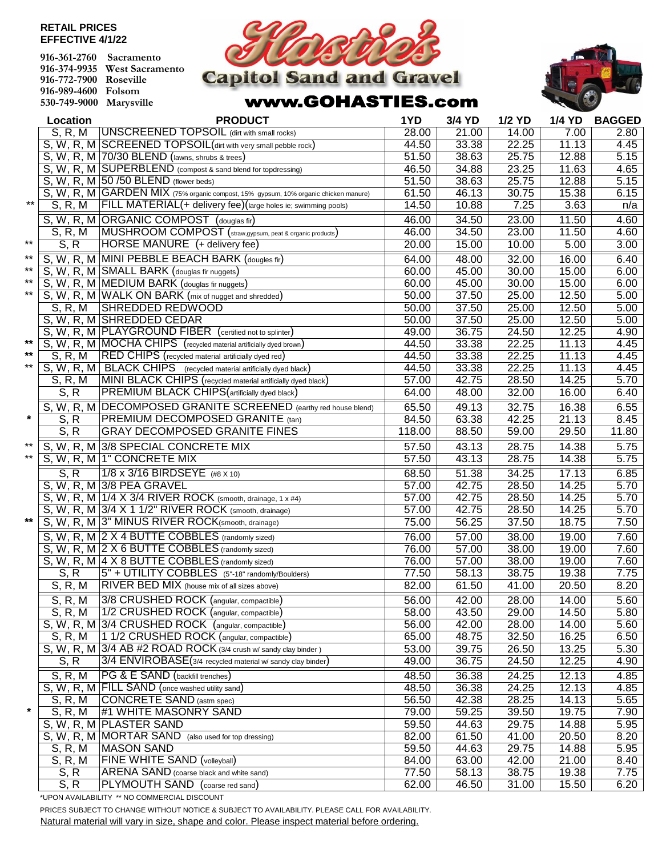## **RETAIL PRICES EFFECTIVE 4/1/22**

| 916-361-2760 Sacramento |                              |
|-------------------------|------------------------------|
|                         | 916-374-9935 West Sacramento |
| 916-772-7900 Roseville  |                              |
| 916-989-4600 Folsom     |                              |
| 530-749-9000 Marysville |                              |



## www.GOHASTIES.com



|         | Location     | <b>PRODUCT</b>                                                                      | 1YD    | 3/4 YD             | 1/2 YD |       | 1/4 YD BAGGED     |
|---------|--------------|-------------------------------------------------------------------------------------|--------|--------------------|--------|-------|-------------------|
|         | S, R, M      | <b>UNSCREENED TOPSOIL</b> (dirt with small rocks)                                   | 28.00  | 21.00              | 14.00  | 7.00  | 2.80              |
|         |              | S, W, R, M SCREENED TOPSOIL (dirt with very small pebble rock)                      | 44.50  | 33.38              | 22.25  | 11.13 | 4.45              |
|         |              | S, W, R, M 70/30 BLEND (lawns, shrubs & trees)                                      | 51.50  | 38.63              | 25.75  | 12.88 | $\overline{5.15}$ |
|         |              | S, W, R, M SUPERBLEND (compost & sand blend for topdressing)                        | 46.50  | 34.88              | 23.25  | 11.63 | 4.65              |
|         |              | S, W, R, M 50 /50 BLEND (flower beds)                                               | 51.50  | 38.63              | 25.75  | 12.88 | 5.15              |
|         |              | S, W, R, M GARDEN MIX (75% organic compost, 15% gypsum, 10% organic chicken manure) | 61.50  | 46.13              | 30.75  | 15.38 | 6.15              |
| $***$   | S, R, M      | FILL MATERIAL(+ delivery fee)(large holes ie; swimming pools)                       | 14.50  | 10.88              | 7.25   | 3.63  | n/a               |
|         |              | S, W, R, M ORGANIC COMPOST (douglas fir)                                            | 46.00  | 34.50              | 23.00  | 11.50 | 4.60              |
|         | S, R, M      | MUSHROOM COMPOST (straw,gypsum, peat & organic products)                            | 46.00  | 34.50              | 23.00  | 11.50 | 4.60              |
| $***$   | S, R         | HORSE MANURE (+ delivery fee)                                                       | 20.00  | 15.00              | 10.00  | 5.00  | 3.00              |
| $***$   |              | S, W, R, M MINI PEBBLE BEACH BARK (dougles fir)                                     | 64.00  | 48.00              | 32.00  | 16.00 | 6.40              |
| $***$   |              | S. W, R, M SMALL BARK (douglas fir nuggets)                                         | 60.00  | 45.00              | 30.00  | 15.00 | 6.00              |
| $***$   |              | S, W, R, M MEDIUM BARK (douglas fir nuggets)                                        | 60.00  | 45.00              | 30.00  | 15.00 | 6.00              |
| $***$   |              | S, W, R, M WALK ON BARK (mix of nugget and shredded)                                | 50.00  | 37.50              | 25.00  | 12.50 | 5.00              |
|         | S, R, M      | <b>SHREDDED REDWOOD</b>                                                             | 50.00  | 37.50              | 25.00  | 12.50 | 5.00              |
|         |              | S, W, R, M SHREDDED CEDAR                                                           | 50.00  | 37.50              | 25.00  | 12.50 | 5.00              |
|         |              | S, W, R, M PLAYGROUND FIBER (certified not to splinter)                             | 49.00  | 36.75              | 24.50  | 12.25 | 4.90              |
| $***$   |              | S, W, R, M MOCHA CHIPS (recycled material artificially dyed brown)                  | 44.50  | 33.38              | 22.25  | 11.13 | 4.45              |
| $***$   | S. R. M      | RED CHIPS (recycled material artificially dyed red)                                 | 44.50  | 33.38              | 22.25  | 11.13 | 4.45              |
| $***$   |              | S, W, R, M   BLACK CHIPS (recycled material artificially dyed black)                | 44.50  | 33.38              | 22.25  | 11.13 | 4.45              |
|         | S, R, M      | MINI BLACK CHIPS (recycled material artificially dyed black)                        | 57.00  | 42.75              | 28.50  | 14.25 | 5.70              |
|         | S, R         | PREMIUM BLACK CHIPS (artificially dyed black)                                       | 64.00  | 48.00              | 32.00  | 16.00 | 6.40              |
|         |              | S, W, R, M DECOMPOSED GRANITE SCREENED (earthy red house blend)                     | 65.50  | 49.13              | 32.75  | 16.38 | 6.55              |
| $\star$ | S, R         | PREMIUM DECOMPOSED GRANITE (tan)                                                    | 84.50  | 63.38              | 42.25  | 21.13 | 8.45              |
|         | S, R         | <b>GRAY DECOMPOSED GRANITE FINES</b>                                                | 118.00 | 88.50              | 59.00  | 29.50 | 11.80             |
| $***$   |              | S, W, R, M 3/8 SPECIAL CONCRETE MIX                                                 | 57.50  | 43.13              | 28.75  | 14.38 | 5.75              |
| $***$   |              | S, W, R, M   1" CONCRETE MIX                                                        | 57.50  | 43.13              | 28.75  | 14.38 | 5.75              |
|         | S, R         | 1/8 x 3/16 BIRDSEYE (#8 X 10)                                                       | 68.50  | 51.38              | 34.25  | 17.13 | 6.85              |
|         |              | S, W, R, M 3/8 PEA GRAVEL                                                           | 57.00  | 42.75              | 28.50  | 14.25 | 5.70              |
|         |              | S, W, R, M   1/4 X 3/4 RIVER ROCK (smooth, drainage, 1 x #4)                        | 57.00  | 42.75              | 28.50  | 14.25 | 5.70              |
|         |              | S, W, R, M 3/4 X 1 1/2" RIVER ROCK (smooth, drainage)                               | 57.00  | 42.75              | 28.50  | 14.25 | 5.70              |
| $***$   |              | S, W, R, M 3" MINUS RIVER ROCK(smooth, drainage)                                    | 75.00  | 56.25              | 37.50  | 18.75 | 7.50              |
|         |              | S. W. R. M 2 X 4 BUTTE COBBLES (randomly sized)                                     | 76.00  | 57.00              | 38.00  | 19.00 | 7.60              |
|         |              | S, W, R, M 2 X 6 BUTTE COBBLES (randomly sized)                                     | 76.00  | 57.00              | 38.00  | 19.00 | 7.60              |
|         |              | S, W, R, M 4 X 8 BUTTE COBBLES (randomly sized)                                     | 76.00  | 57.00              | 38.00  | 19.00 | 7.60              |
|         | S, R         | 5" + UTILITY COBBLES (5"-18" randomly/Boulders)                                     | 77.50  | 58.13              | 38.75  | 19.38 | 7.75              |
|         | S. R. M      | RIVER BED MIX (house mix of all sizes above)                                        | 82.00  | 61.50              | 41.00  | 20.50 | 8.20              |
|         | S, R, M      | 3/8 CRUSHED ROCK (angular, compactible)                                             | 56.00  | 42.00              | 28.00  | 14.00 | 5.60              |
|         | S, R, M      | 1/2 CRUSHED ROCK (angular, compactible)                                             | 58.00  | 43.50              | 29.00  | 14.50 | 5.80              |
|         |              | S, W, R, M 3/4 CRUSHED ROCK (angular, compactible)                                  | 56.00  | 42.00              | 28.00  | 14.00 | 5.60              |
|         | S, R, M      | 1 1/2 CRUSHED ROCK (angular, compactible)                                           | 65.00  | 48.75              | 32.50  | 16.25 | 6.50              |
|         |              | S, W, R, M 3/4 AB #2 ROAD ROCK (3/4 crush w/ sandy clay binder)                     | 53.00  | 39.75              | 26.50  | 13.25 | 5.30              |
|         | S, R         | 3/4 ENVIROBASE(3/4 recycled material w/ sandy clay binder)                          | 49.00  | 36.75              | 24.50  | 12.25 | 4.90              |
|         | S, R, M      | PG & E SAND (backfill trenches)                                                     | 48.50  | 36.38              | 24.25  | 12.13 | 4.85              |
|         |              | S, W, R, M FILL SAND (once washed utility sand)                                     | 48.50  | 36.38              | 24.25  | 12.13 | 4.85              |
|         | S, R, M      | <b>CONCRETE SAND</b> (astm spec)                                                    | 56.50  | 42.38              | 28.25  | 14.13 | 5.65              |
| $\star$ | S, R, M      | #1 WHITE MASONRY SAND                                                               | 79.00  | $\overline{59.25}$ | 39.50  | 19.75 | 7.90              |
|         |              | S, W, R, M PLASTER SAND                                                             | 59.50  | 44.63              | 29.75  | 14.88 | 5.95              |
|         |              | S, W, R, M MORTAR SAND (also used for top dressing)                                 | 82.00  | 61.50              | 41.00  | 20.50 | 8.20              |
|         | S, R, M      | <b>MASON SAND</b>                                                                   | 59.50  | 44.63              | 29.75  | 14.88 | 5.95              |
|         | S, R, M      | <b>FINE WHITE SAND (volleyball)</b>                                                 | 84.00  | 63.00              | 42.00  | 21.00 | $\overline{8.40}$ |
|         | S, R<br>S, R | ARENA SAND (coarse black and white sand)<br>PLYMOUTH SAND (coarse red sand)         | 77.50  | 58.13              | 38.75  | 19.38 | 7.75              |
|         |              |                                                                                     | 62.00  | 46.50              | 31.00  | 15.50 | 6.20              |

\*UPON AVAILABILITY \*\* NO COMMERCIAL DISCOUNT

PRICES SUBJECT TO CHANGE WITHOUT NOTICE & SUBJECT TO AVAILABILITY. PLEASE CALL FOR AVAILABILITY.

Natural material will vary in size, shape and color. Please inspect material before ordering.